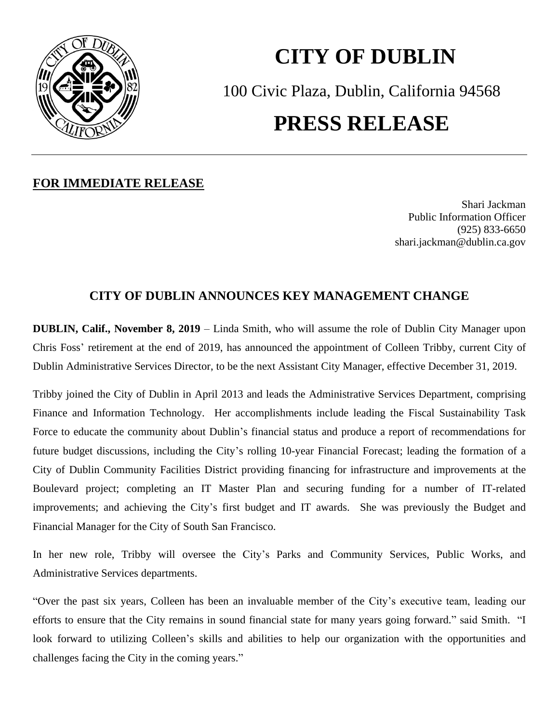

## **CITY OF DUBLIN** 100 Civic Plaza, Dublin, California 94568 **PRESS RELEASE**

## **FOR IMMEDIATE RELEASE**

Shari Jackman Public Information Officer (925) 833-6650 shari.jackman@dublin.ca.gov

## **CITY OF DUBLIN ANNOUNCES KEY MANAGEMENT CHANGE**

**DUBLIN, Calif., November 8, 2019** – Linda Smith, who will assume the role of Dublin City Manager upon Chris Foss' retirement at the end of 2019, has announced the appointment of Colleen Tribby, current City of Dublin Administrative Services Director, to be the next Assistant City Manager, effective December 31, 2019.

Tribby joined the City of Dublin in April 2013 and leads the Administrative Services Department, comprising Finance and Information Technology. Her accomplishments include leading the Fiscal Sustainability Task Force to educate the community about Dublin's financial status and produce a report of recommendations for future budget discussions, including the City's rolling 10-year Financial Forecast; leading the formation of a City of Dublin Community Facilities District providing financing for infrastructure and improvements at the Boulevard project; completing an IT Master Plan and securing funding for a number of IT-related improvements; and achieving the City's first budget and IT awards. She was previously the Budget and Financial Manager for the City of South San Francisco.

In her new role, Tribby will oversee the City's Parks and Community Services, Public Works, and Administrative Services departments.

"Over the past six years, Colleen has been an invaluable member of the City's executive team, leading our efforts to ensure that the City remains in sound financial state for many years going forward." said Smith. "I look forward to utilizing Colleen's skills and abilities to help our organization with the opportunities and challenges facing the City in the coming years."